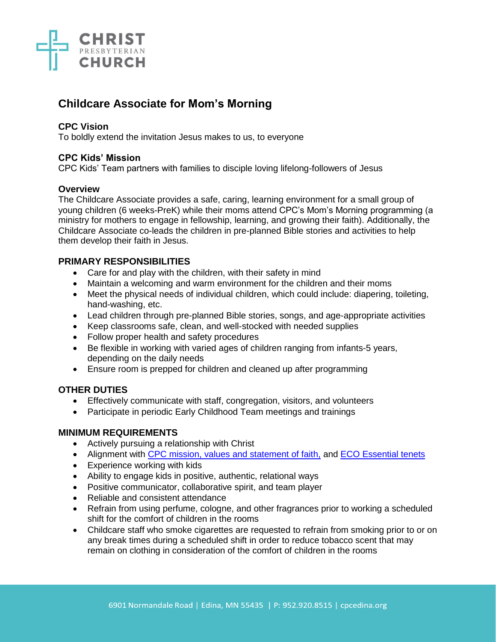

# **Childcare Associate for Mom's Morning**

### **CPC Vision**

To boldly extend the invitation Jesus makes to us, to everyone

#### **CPC Kids' Mission**

CPC Kids' Team partners with families to disciple loving lifelong-followers of Jesus

#### **Overview**

The Childcare Associate provides a safe, caring, learning environment for a small group of young children (6 weeks-PreK) while their moms attend CPC's Mom's Morning programming (a ministry for mothers to engage in fellowship, learning, and growing their faith). Additionally, the Childcare Associate co-leads the children in pre-planned Bible stories and activities to help them develop their faith in Jesus.

### **PRIMARY RESPONSIBILITIES**

- Care for and play with the children, with their safety in mind
- Maintain a welcoming and warm environment for the children and their moms
- Meet the physical needs of individual children, which could include: diapering, toileting, hand-washing, etc.
- Lead children through pre-planned Bible stories, songs, and age-appropriate activities
- Keep classrooms safe, clean, and well-stocked with needed supplies
- Follow proper health and safety procedures
- Be flexible in working with varied ages of children ranging from infants-5 years, depending on the daily needs
- Ensure room is prepped for children and cleaned up after programming

### **OTHER DUTIES**

- Effectively communicate with staff, congregation, visitors, and volunteers
- Participate in periodic Early Childhood Team meetings and trainings

### **MINIMUM REQUIREMENTS**

- Actively pursuing a relationship with Christ
- Alignment with [CPC mission, values and statement of faith,](https://cpcedina.org/about/) and [ECO Essential tenets](https://www.eco-pres.org/static/media/uploads/resources/Essential%20Tenets/new_format_-_essential.pdf)
- Experience working with kids
- Ability to engage kids in positive, authentic, relational ways
- Positive communicator, collaborative spirit, and team player
- Reliable and consistent attendance
- Refrain from using perfume, cologne, and other fragrances prior to working a scheduled shift for the comfort of children in the rooms
- Childcare staff who smoke cigarettes are requested to refrain from smoking prior to or on any break times during a scheduled shift in order to reduce tobacco scent that may remain on clothing in consideration of the comfort of children in the rooms